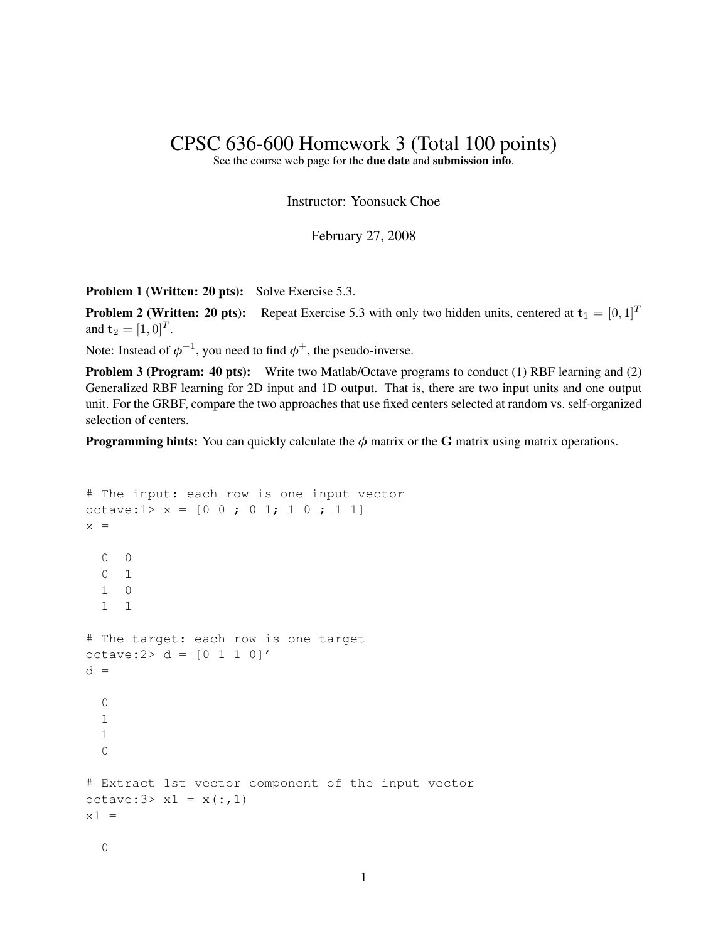## CPSC 636-600 Homework 3 (Total 100 points)

See the course web page for the due date and submission info.

Instructor: Yoonsuck Choe

February 27, 2008

Problem 1 (Written: 20 pts): Solve Exercise 5.3.

**Problem 2 (Written: 20 pts):** Repeat Exercise 5.3 with only two hidden units, centered at  $\mathbf{t}_1 = [0, 1]^T$ and  $\mathbf{t}_2 = [1, 0]^T$ .

Note: Instead of  $\phi^{-1}$ , you need to find  $\phi^+$ , the pseudo-inverse.

Problem 3 (Program: 40 pts): Write two Matlab/Octave programs to conduct (1) RBF learning and (2) Generalized RBF learning for 2D input and 1D output. That is, there are two input units and one output unit. For the GRBF, compare the two approaches that use fixed centers selected at random vs. self-organized selection of centers.

**Programming hints:** You can quickly calculate the  $\phi$  matrix or the G matrix using matrix operations.

```
# The input: each row is one input vector
octave:1> x = [0 \ 0 \ j \ 0 \ 1; 1 \ 0 \ j \ 1 \ 1]x =0 \qquad 00 1
  1 0
  1 1
# The target: each row is one target
octave: 2 > d = [0 1 1 0]'d =\Omega1
  1
  \Omega# Extract 1st vector component of the input vector
octave: 3 > x1 = x(:,1)x1 =0
```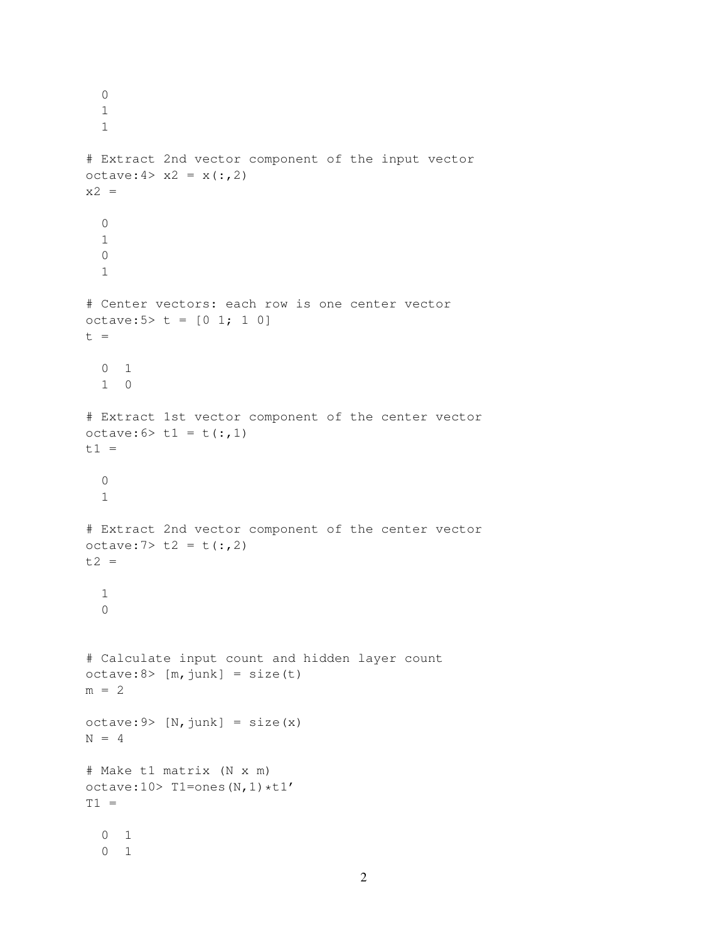```
\Omega1
  1
# Extract 2nd vector component of the input vector
octave: 4 > x^2 = x(:,2)x2 =0
  1
  \Omega1
# Center vectors: each row is one center vector
octave: 5 > t = [0 1; 1 0]t =0 1
  1 0
# Extract 1st vector component of the center vector
octave: 6 > t1 = t(:,1)t1 =\bigcap1
# Extract 2nd vector component of the center vector
octave: 7 > t2 = t(:,2)t2 =1
  \Omega# Calculate input count and hidden layer count
octave:8> [m, junk] = size(t)m = 2octave: 9 > [N, junk] = size(x)N = 4# Make t1 matrix (N x m)
octave:10> T1=ones(N, 1) *t1'
T1 =0 1
  0 1
```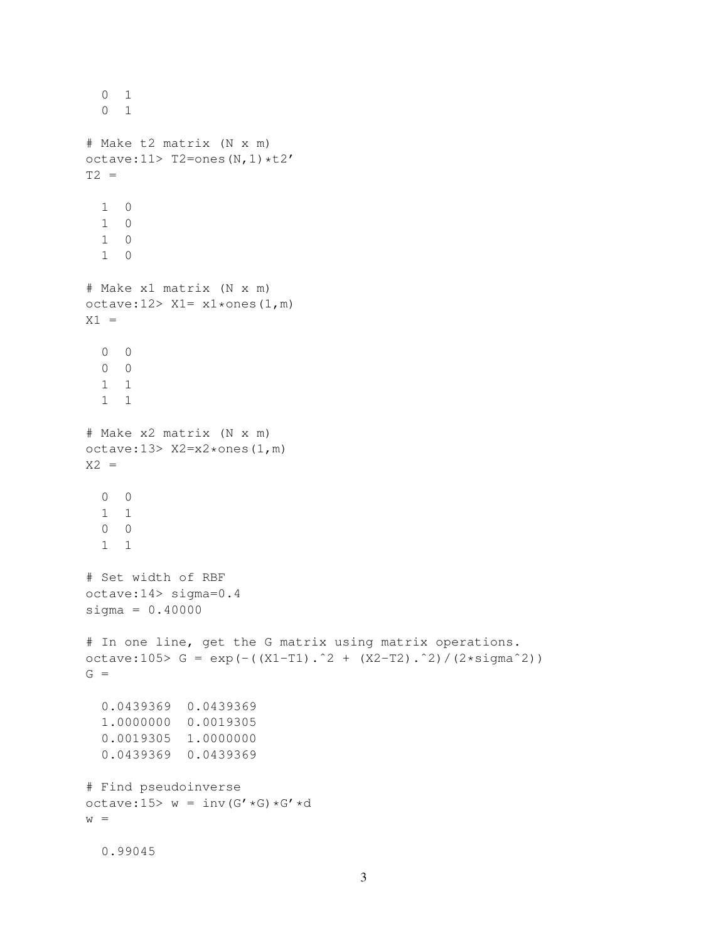```
0 1
  0 1
# Make t2 matrix (N x m)
octave:11> T2=ones(N, 1) *t2'
T2 =1 0
 1 0
 1 0
 1 0
# Make x1 matrix (N x m)
octave: 12 > X1 = x1 * ones(1,m)X1 =0 0
  0 0
  1 1
  1 1
# Make x2 matrix (N x m)
octave:13> X2=x2*ones(1,m)
X2 =0 \qquad 01 1
  0 0
  1 1
# Set width of RBF
octave:14> sigma=0.4
signa = 0.40000# In one line, get the G matrix using matrix operations.
octave:105> G = exp(-((X1-T1).^2 + (X2-T2).^2)/(2*sigma^2))
G =0.0439369 0.0439369
  1.0000000 0.0019305
 0.0019305 1.0000000
  0.0439369 0.0439369
# Find pseudoinverse
octave:15> w = inv(G' *G) *G' *dw =0.99045
```